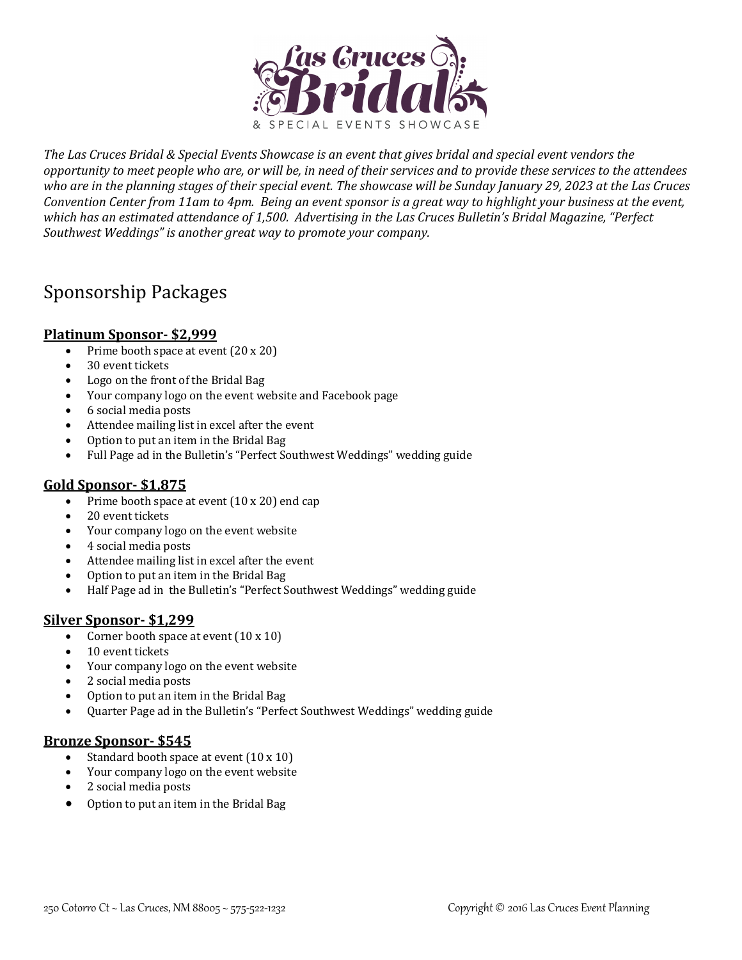

The Las Cruces Bridal & Special Events Showcase is an event that gives bridal and special event vendors the *opportunity* to meet people who are, or will be, in need of their services and to provide these services to the attendees who are in the planning stages of their special event. The showcase will be Sunday January 29, 2023 at the Las Cruces *Convention Center from 11am to 4pm. Being an event sponsor is a great way to highlight your business at the event,* which has an estimated attendance of 1,500. Advertising in the Las Cruces Bulletin's Bridal Magazine, "Perfect Southwest Weddings" is another great way to promote your company.

# Sponsorship Packages

## **Platinum Sponsor- \$2,999**

- Prime booth space at event  $(20 \times 20)$
- 30 event tickets
- Logo on the front of the Bridal Bag
- Your company logo on the event website and Facebook page
- 6 social media posts
- Attendee mailing list in excel after the event
- Option to put an item in the Bridal Bag
- Full Page ad in the Bulletin's "Perfect Southwest Weddings" wedding guide

# **Gold Sponsor- \$1,875**

- Prime booth space at event  $(10 \times 20)$  end cap
- 20 event tickets
- Your company logo on the event website
- 4 social media posts
- Attendee mailing list in excel after the event
- Option to put an item in the Bridal Bag
- Half Page ad in the Bulletin's "Perfect Southwest Weddings" wedding guide

#### **Silver Sponsor- \$1,299**

- Corner booth space at event  $(10 \times 10)$
- 10 event tickets
- Your company logo on the event website
- 2 social media posts
- Option to put an item in the Bridal Bag
- Quarter Page ad in the Bulletin's "Perfect Southwest Weddings" wedding guide

#### **Bronze Sponsor- \$545**

- Standard booth space at event  $(10 \times 10)$
- Your company logo on the event website
- 2 social media posts
- Option to put an item in the Bridal Bag